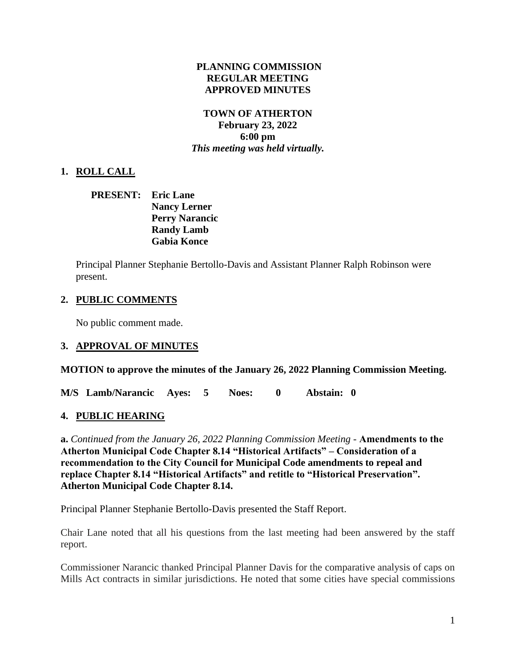#### **PLANNING COMMISSION REGULAR MEETING APPROVED MINUTES**

#### **TOWN OF ATHERTON February 23, 2022 6:00 pm** *This meeting was held virtually.*

# **1. ROLL CALL**

#### **PRESENT: Eric Lane Nancy Lerner Perry Narancic Randy Lamb Gabia Konce**

Principal Planner Stephanie Bertollo-Davis and Assistant Planner Ralph Robinson were present.

## **2. PUBLIC COMMENTS**

No public comment made.

## **3. APPROVAL OF MINUTES**

**MOTION to approve the minutes of the January 26, 2022 Planning Commission Meeting.**

**M/S Lamb/Narancic Ayes: 5 Noes: 0 Abstain: 0** 

## **4. PUBLIC HEARING**

**a.** *Continued from the January 26, 2022 Planning Commission Meeting -* **Amendments to the Atherton Municipal Code Chapter 8.14 "Historical Artifacts" – Consideration of a recommendation to the City Council for Municipal Code amendments to repeal and replace Chapter 8.14 "Historical Artifacts" and retitle to "Historical Preservation". Atherton Municipal Code Chapter 8.14.**

Principal Planner Stephanie Bertollo-Davis presented the Staff Report.

Chair Lane noted that all his questions from the last meeting had been answered by the staff report.

Commissioner Narancic thanked Principal Planner Davis for the comparative analysis of caps on Mills Act contracts in similar jurisdictions. He noted that some cities have special commissions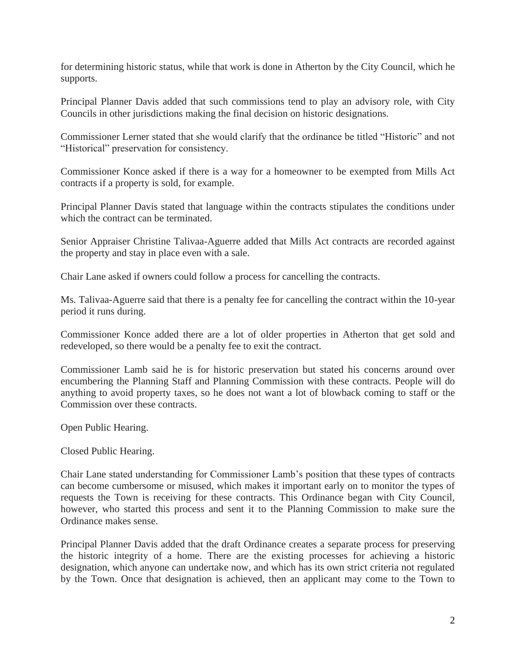for determining historic status, while that work is done in Atherton by the City Council, which he supports.

Principal Planner Davis added that such commissions tend to play an advisory role, with City Councils in other jurisdictions making the final decision on historic designations.

Commissioner Lerner stated that she would clarify that the ordinance be titled "Historic" and not "Historical" preservation for consistency.

Commissioner Konce asked if there is a way for a homeowner to be exempted from Mills Act contracts if a property is sold, for example.

Principal Planner Davis stated that language within the contracts stipulates the conditions under which the contract can be terminated.

Senior Appraiser Christine Talivaa-Aguerre added that Mills Act contracts are recorded against the property and stay in place even with a sale.

Chair Lane asked if owners could follow a process for cancelling the contracts.

Ms. Talivaa-Aguerre said that there is a penalty fee for cancelling the contract within the 10-year period it runs during.

Commissioner Konce added there are a lot of older properties in Atherton that get sold and redeveloped, so there would be a penalty fee to exit the contract.

Commissioner Lamb said he is for historic preservation but stated his concerns around over encumbering the Planning Staff and Planning Commission with these contracts. People will do anything to avoid property taxes, so he does not want a lot of blowback coming to staff or the Commission over these contracts.

Open Public Hearing.

Closed Public Hearing.

Chair Lane stated understanding for Commissioner Lamb's position that these types of contracts can become cumbersome or misused, which makes it important early on to monitor the types of requests the Town is receiving for these contracts. This Ordinance began with City Council, however, who started this process and sent it to the Planning Commission to make sure the Ordinance makes sense.

Principal Planner Davis added that the draft Ordinance creates a separate process for preserving the historic integrity of a home. There are the existing processes for achieving a historic designation, which anyone can undertake now, and which has its own strict criteria not regulated by the Town. Once that designation is achieved, then an applicant may come to the Town to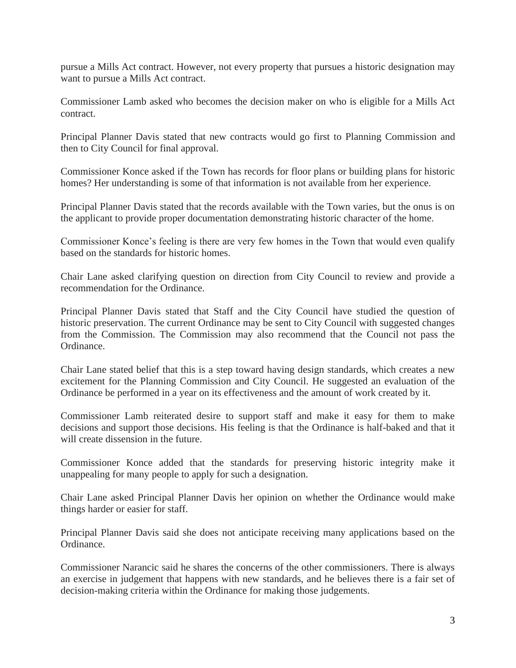pursue a Mills Act contract. However, not every property that pursues a historic designation may want to pursue a Mills Act contract.

Commissioner Lamb asked who becomes the decision maker on who is eligible for a Mills Act contract.

Principal Planner Davis stated that new contracts would go first to Planning Commission and then to City Council for final approval.

Commissioner Konce asked if the Town has records for floor plans or building plans for historic homes? Her understanding is some of that information is not available from her experience.

Principal Planner Davis stated that the records available with the Town varies, but the onus is on the applicant to provide proper documentation demonstrating historic character of the home.

Commissioner Konce's feeling is there are very few homes in the Town that would even qualify based on the standards for historic homes.

Chair Lane asked clarifying question on direction from City Council to review and provide a recommendation for the Ordinance.

Principal Planner Davis stated that Staff and the City Council have studied the question of historic preservation. The current Ordinance may be sent to City Council with suggested changes from the Commission. The Commission may also recommend that the Council not pass the Ordinance.

Chair Lane stated belief that this is a step toward having design standards, which creates a new excitement for the Planning Commission and City Council. He suggested an evaluation of the Ordinance be performed in a year on its effectiveness and the amount of work created by it.

Commissioner Lamb reiterated desire to support staff and make it easy for them to make decisions and support those decisions. His feeling is that the Ordinance is half-baked and that it will create dissension in the future.

Commissioner Konce added that the standards for preserving historic integrity make it unappealing for many people to apply for such a designation.

Chair Lane asked Principal Planner Davis her opinion on whether the Ordinance would make things harder or easier for staff.

Principal Planner Davis said she does not anticipate receiving many applications based on the Ordinance.

Commissioner Narancic said he shares the concerns of the other commissioners. There is always an exercise in judgement that happens with new standards, and he believes there is a fair set of decision-making criteria within the Ordinance for making those judgements.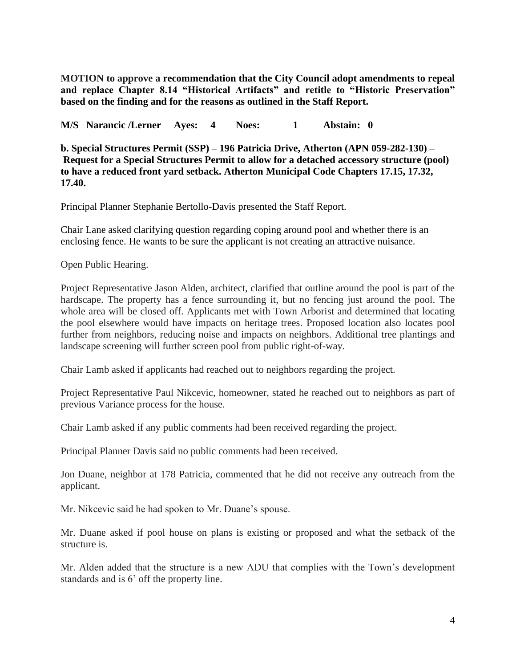**MOTION to approve a recommendation that the City Council adopt amendments to repeal and replace Chapter 8.14 "Historical Artifacts" and retitle to "Historic Preservation" based on the finding and for the reasons as outlined in the Staff Report.**

**M/S Narancic /Lerner Ayes: 4 Noes: 1 Abstain: 0**

**b. Special Structures Permit (SSP) – 196 Patricia Drive, Atherton (APN 059-282-130) – Request for a Special Structures Permit to allow for a detached accessory structure (pool) to have a reduced front yard setback. Atherton Municipal Code Chapters 17.15, 17.32, 17.40.**

Principal Planner Stephanie Bertollo-Davis presented the Staff Report.

Chair Lane asked clarifying question regarding coping around pool and whether there is an enclosing fence. He wants to be sure the applicant is not creating an attractive nuisance.

Open Public Hearing.

Project Representative Jason Alden, architect, clarified that outline around the pool is part of the hardscape. The property has a fence surrounding it, but no fencing just around the pool. The whole area will be closed off. Applicants met with Town Arborist and determined that locating the pool elsewhere would have impacts on heritage trees. Proposed location also locates pool further from neighbors, reducing noise and impacts on neighbors. Additional tree plantings and landscape screening will further screen pool from public right-of-way.

Chair Lamb asked if applicants had reached out to neighbors regarding the project.

Project Representative Paul Nikcevic, homeowner, stated he reached out to neighbors as part of previous Variance process for the house.

Chair Lamb asked if any public comments had been received regarding the project.

Principal Planner Davis said no public comments had been received.

Jon Duane, neighbor at 178 Patricia, commented that he did not receive any outreach from the applicant.

Mr. Nikcevic said he had spoken to Mr. Duane's spouse.

Mr. Duane asked if pool house on plans is existing or proposed and what the setback of the structure is.

Mr. Alden added that the structure is a new ADU that complies with the Town's development standards and is 6' off the property line.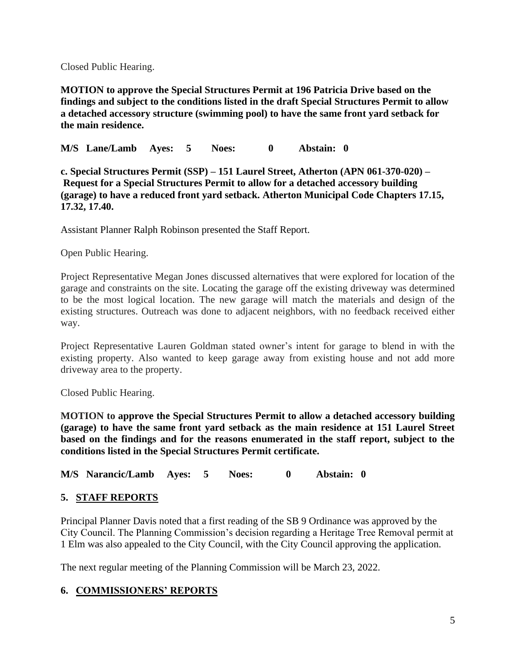Closed Public Hearing.

**MOTION to approve the Special Structures Permit at 196 Patricia Drive based on the findings and subject to the conditions listed in the draft Special Structures Permit to allow a detached accessory structure (swimming pool) to have the same front yard setback for the main residence.**

**M/S Lane/Lamb Ayes: 5 Noes: 0 Abstain: 0**

**c. Special Structures Permit (SSP) – 151 Laurel Street, Atherton (APN 061-370-020) – Request for a Special Structures Permit to allow for a detached accessory building (garage) to have a reduced front yard setback. Atherton Municipal Code Chapters 17.15, 17.32, 17.40.**

Assistant Planner Ralph Robinson presented the Staff Report.

Open Public Hearing.

Project Representative Megan Jones discussed alternatives that were explored for location of the garage and constraints on the site. Locating the garage off the existing driveway was determined to be the most logical location. The new garage will match the materials and design of the existing structures. Outreach was done to adjacent neighbors, with no feedback received either way.

Project Representative Lauren Goldman stated owner's intent for garage to blend in with the existing property. Also wanted to keep garage away from existing house and not add more driveway area to the property.

Closed Public Hearing.

**MOTION to approve the Special Structures Permit to allow a detached accessory building (garage) to have the same front yard setback as the main residence at 151 Laurel Street based on the findings and for the reasons enumerated in the staff report, subject to the conditions listed in the Special Structures Permit certificate.**

**M/S Narancic/Lamb Ayes: 5 Noes: 0 Abstain: 0**

## **5. STAFF REPORTS**

Principal Planner Davis noted that a first reading of the SB 9 Ordinance was approved by the City Council. The Planning Commission's decision regarding a Heritage Tree Removal permit at 1 Elm was also appealed to the City Council, with the City Council approving the application.

The next regular meeting of the Planning Commission will be March 23, 2022.

# **6. COMMISSIONERS' REPORTS**